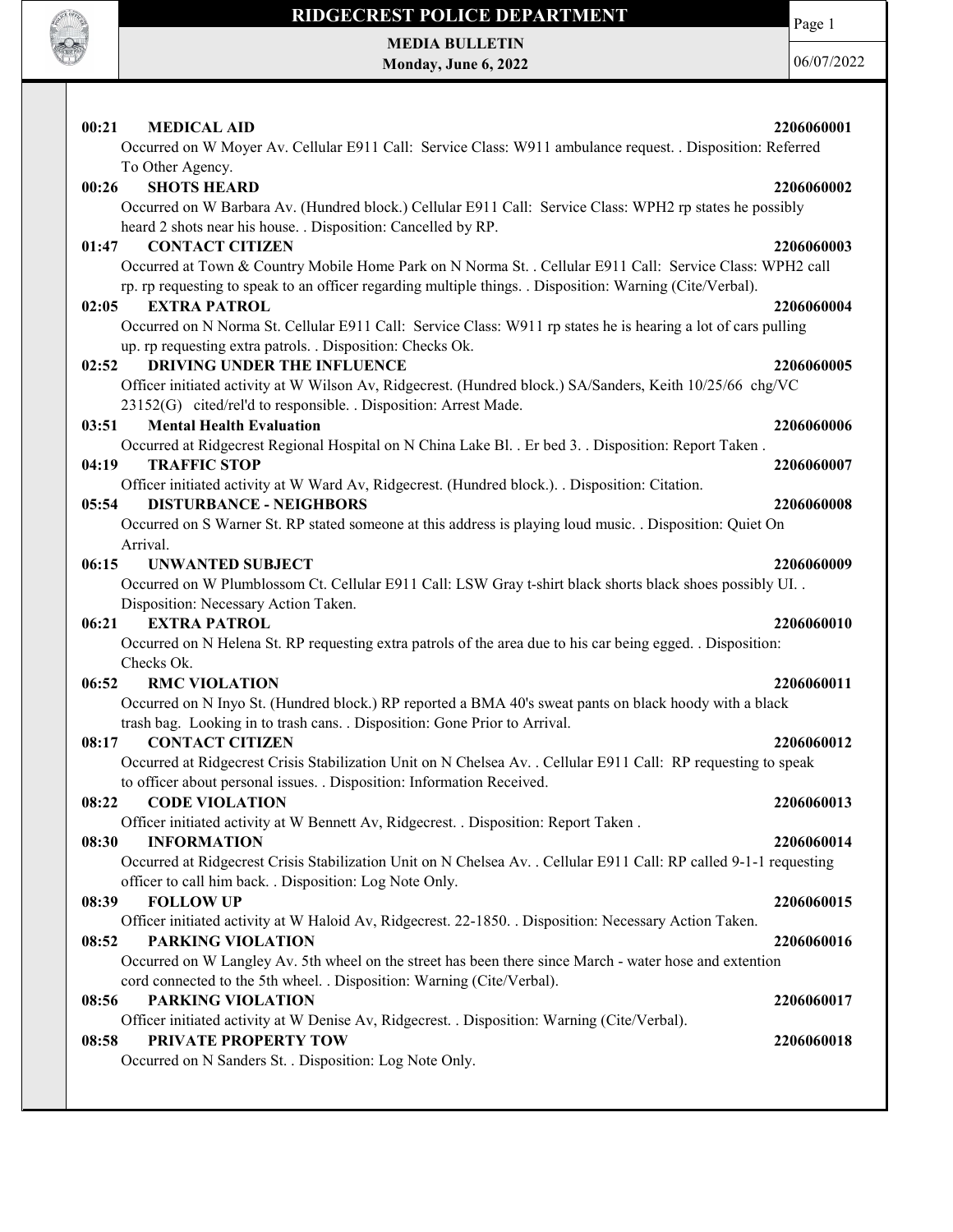

Page 1

MEDIA BULLETIN Monday, June 6, 2022

| 00:21<br><b>MEDICAL AID</b><br>Occurred on W Moyer Av. Cellular E911 Call: Service Class: W911 ambulance request. . Disposition: Referred | 2206060001 |
|-------------------------------------------------------------------------------------------------------------------------------------------|------------|
| To Other Agency.                                                                                                                          |            |
| <b>SHOTS HEARD</b><br>00:26                                                                                                               | 2206060002 |
| Occurred on W Barbara Av. (Hundred block.) Cellular E911 Call: Service Class: WPH2 rp states he possibly                                  |            |
| heard 2 shots near his house. . Disposition: Cancelled by RP.                                                                             |            |
| <b>CONTACT CITIZEN</b><br>01:47                                                                                                           | 2206060003 |
| Occurred at Town & Country Mobile Home Park on N Norma St. . Cellular E911 Call: Service Class: WPH2 call                                 |            |
| rp. rp requesting to speak to an officer regarding multiple things. . Disposition: Warning (Cite/Verbal).                                 |            |
| <b>EXTRA PATROL</b><br>02:05                                                                                                              | 2206060004 |
| Occurred on N Norma St. Cellular E911 Call: Service Class: W911 rp states he is hearing a lot of cars pulling                             |            |
| up. rp requesting extra patrols. . Disposition: Checks Ok.                                                                                |            |
| 02:52<br><b>DRIVING UNDER THE INFLUENCE</b>                                                                                               | 2206060005 |
| Officer initiated activity at W Wilson Av, Ridgecrest. (Hundred block.) SA/Sanders, Keith 10/25/66 chg/VC                                 |            |
| 23152(G) cited/rel'd to responsible. . Disposition: Arrest Made.                                                                          |            |
| 03:51<br><b>Mental Health Evaluation</b>                                                                                                  | 2206060006 |
| Occurred at Ridgecrest Regional Hospital on N China Lake Bl. . Er bed 3. . Disposition: Report Taken.                                     |            |
| <b>TRAFFIC STOP</b><br>04:19                                                                                                              | 2206060007 |
| Officer initiated activity at W Ward Av, Ridgecrest. (Hundred block.). . Disposition: Citation.                                           |            |
| <b>DISTURBANCE - NEIGHBORS</b><br>05:54                                                                                                   | 2206060008 |
| Occurred on S Warner St. RP stated someone at this address is playing loud music. . Disposition: Quiet On                                 |            |
| Arrival.                                                                                                                                  |            |
| <b>UNWANTED SUBJECT</b><br>06:15                                                                                                          | 2206060009 |
| Occurred on W Plumblossom Ct. Cellular E911 Call: LSW Gray t-shirt black shorts black shoes possibly UI. .                                |            |
| Disposition: Necessary Action Taken.                                                                                                      |            |
| <b>EXTRA PATROL</b><br>06:21                                                                                                              | 2206060010 |
| Occurred on N Helena St. RP requesting extra patrols of the area due to his car being egged. . Disposition:                               |            |
| Checks Ok.                                                                                                                                |            |
| 06:52<br><b>RMC VIOLATION</b>                                                                                                             | 2206060011 |
| Occurred on N Inyo St. (Hundred block.) RP reported a BMA 40's sweat pants on black hoody with a black                                    |            |
| trash bag. Looking in to trash cans. . Disposition: Gone Prior to Arrival.<br><b>CONTACT CITIZEN</b>                                      |            |
| 08:17<br>Occurred at Ridgecrest Crisis Stabilization Unit on N Chelsea Av. . Cellular E911 Call: RP requesting to speak                   | 2206060012 |
| to officer about personal issues. . Disposition: Information Received.                                                                    |            |
| <b>CODE VIOLATION</b><br>08:22                                                                                                            | 2206060013 |
| Officer initiated activity at W Bennett Av, Ridgecrest. . Disposition: Report Taken.                                                      |            |
| 08:30<br><b>INFORMATION</b>                                                                                                               | 2206060014 |
| Occurred at Ridgecrest Crisis Stabilization Unit on N Chelsea Av. . Cellular E911 Call: RP called 9-1-1 requesting                        |            |
| officer to call him back. . Disposition: Log Note Only.                                                                                   |            |
| 08:39<br><b>FOLLOW UP</b>                                                                                                                 | 2206060015 |
| Officer initiated activity at W Haloid Av, Ridgecrest. 22-1850. . Disposition: Necessary Action Taken.                                    |            |
| <b>PARKING VIOLATION</b><br>08:52                                                                                                         | 2206060016 |
| Occurred on W Langley Av. 5th wheel on the street has been there since March - water hose and extention                                   |            |
| cord connected to the 5th wheel. . Disposition: Warning (Cite/Verbal).                                                                    |            |
| <b>PARKING VIOLATION</b><br>08:56                                                                                                         | 2206060017 |
| Officer initiated activity at W Denise Av, Ridgecrest. . Disposition: Warning (Cite/Verbal).                                              |            |
| PRIVATE PROPERTY TOW<br>08:58                                                                                                             | 2206060018 |
| Occurred on N Sanders St. . Disposition: Log Note Only.                                                                                   |            |
|                                                                                                                                           |            |
|                                                                                                                                           |            |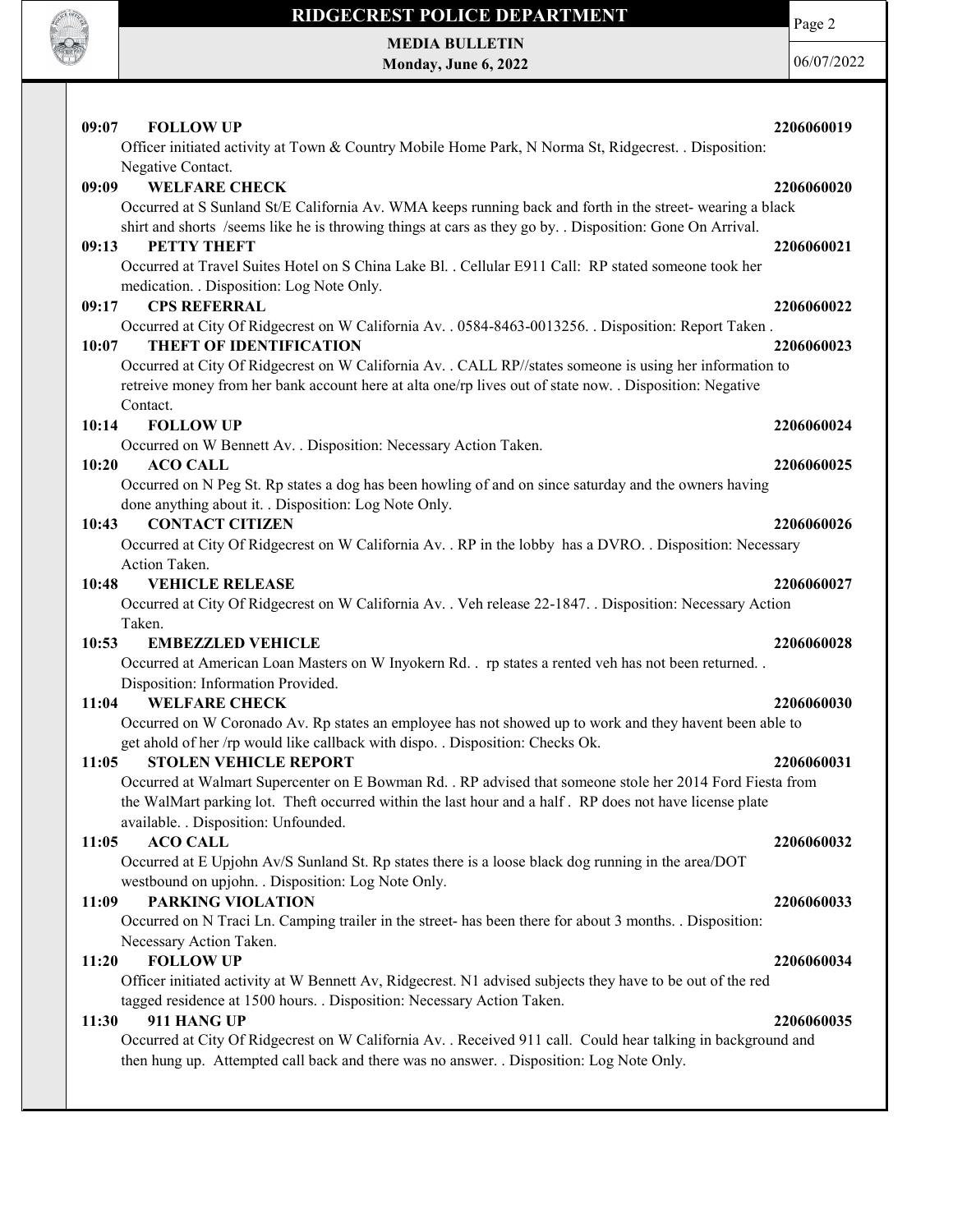

Page 2

MEDIA BULLETIN Monday, June 6, 2022

| 09:07<br><b>FOLLOW UP</b>                                                                                    | 2206060019 |
|--------------------------------------------------------------------------------------------------------------|------------|
| Officer initiated activity at Town & Country Mobile Home Park, N Norma St, Ridgecrest. . Disposition:        |            |
| Negative Contact.                                                                                            |            |
| <b>WELFARE CHECK</b><br>09:09                                                                                | 2206060020 |
| Occurred at S Sunland St/E California Av. WMA keeps running back and forth in the street-wearing a black     |            |
| shirt and shorts /seems like he is throwing things at cars as they go by. . Disposition: Gone On Arrival.    |            |
| 09:13<br><b>PETTY THEFT</b>                                                                                  | 2206060021 |
| Occurred at Travel Suites Hotel on S China Lake Bl. . Cellular E911 Call: RP stated someone took her         |            |
| medication. . Disposition: Log Note Only.                                                                    |            |
| <b>CPS REFERRAL</b><br>09:17                                                                                 | 2206060022 |
| Occurred at City Of Ridgecrest on W California Av. . 0584-8463-0013256. . Disposition: Report Taken.         |            |
| <b>THEFT OF IDENTIFICATION</b><br>10:07                                                                      | 2206060023 |
| Occurred at City Of Ridgecrest on W California Av. . CALL RP//states someone is using her information to     |            |
| retreive money from her bank account here at alta one/rp lives out of state now. . Disposition: Negative     |            |
| Contact.                                                                                                     |            |
| 10:14<br><b>FOLLOW UP</b>                                                                                    | 2206060024 |
| Occurred on W Bennett Av. . Disposition: Necessary Action Taken.                                             |            |
| 10:20<br><b>ACO CALL</b>                                                                                     | 2206060025 |
| Occurred on N Peg St. Rp states a dog has been howling of and on since saturday and the owners having        |            |
| done anything about it. . Disposition: Log Note Only.                                                        |            |
| <b>CONTACT CITIZEN</b><br>10:43                                                                              | 2206060026 |
| Occurred at City Of Ridgecrest on W California Av. . RP in the lobby has a DVRO. . Disposition: Necessary    |            |
| Action Taken.                                                                                                |            |
| <b>VEHICLE RELEASE</b><br>10:48                                                                              | 2206060027 |
| Occurred at City Of Ridgecrest on W California Av. . Veh release 22-1847. . Disposition: Necessary Action    |            |
| Taken.                                                                                                       |            |
| 10:53<br><b>EMBEZZLED VEHICLE</b>                                                                            | 2206060028 |
| Occurred at American Loan Masters on W Inyokern Rd. . rp states a rented veh has not been returned. .        |            |
| Disposition: Information Provided.                                                                           |            |
| 11:04<br><b>WELFARE CHECK</b>                                                                                | 2206060030 |
| Occurred on W Coronado Av. Rp states an employee has not showed up to work and they havent been able to      |            |
| get ahold of her /rp would like callback with dispo. . Disposition: Checks Ok.                               |            |
| <b>STOLEN VEHICLE REPORT</b><br>11:05                                                                        | 2206060031 |
| Occurred at Walmart Supercenter on E Bowman Rd. . RP advised that someone stole her 2014 Ford Fiesta from    |            |
| the WalMart parking lot. Theft occurred within the last hour and a half. RP does not have license plate      |            |
| available. . Disposition: Unfounded.                                                                         |            |
| <b>ACO CALL</b><br>11:05                                                                                     | 2206060032 |
| Occurred at E Upjohn Av/S Sunland St. Rp states there is a loose black dog running in the area/DOT           |            |
| westbound on upjohn. . Disposition: Log Note Only.                                                           |            |
| <b>PARKING VIOLATION</b><br>11:09                                                                            | 2206060033 |
| Occurred on N Traci Ln. Camping trailer in the street- has been there for about 3 months. . Disposition:     |            |
| Necessary Action Taken.                                                                                      |            |
| <b>FOLLOW UP</b><br>11:20                                                                                    | 2206060034 |
| Officer initiated activity at W Bennett Av, Ridgecrest. N1 advised subjects they have to be out of the red   |            |
| tagged residence at 1500 hours. . Disposition: Necessary Action Taken.                                       |            |
| 911 HANG UP<br>11:30                                                                                         | 2206060035 |
| Occurred at City Of Ridgecrest on W California Av. . Received 911 call. Could hear talking in background and |            |
| then hung up. Attempted call back and there was no answer. . Disposition: Log Note Only.                     |            |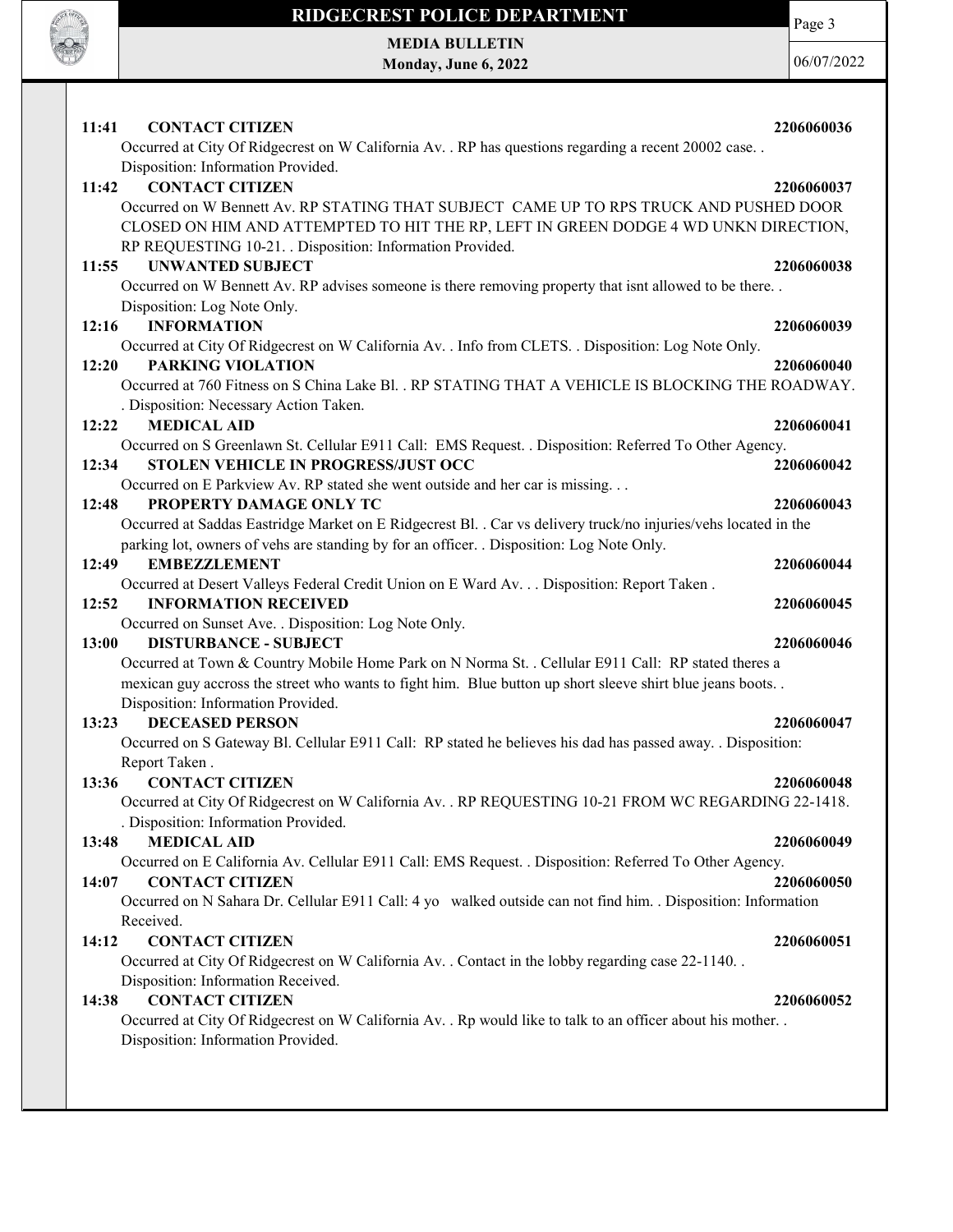

MEDIA BULLETIN Monday, June 6, 2022 Page 3

| 11:41<br><b>CONTACT CITIZEN</b>                                                                                                                                                                                                          | 2206060036 |
|------------------------------------------------------------------------------------------------------------------------------------------------------------------------------------------------------------------------------------------|------------|
| Occurred at City Of Ridgecrest on W California Av. . RP has questions regarding a recent 20002 case. .<br>Disposition: Information Provided.                                                                                             |            |
| <b>CONTACT CITIZEN</b><br>11:42                                                                                                                                                                                                          | 2206060037 |
| Occurred on W Bennett Av. RP STATING THAT SUBJECT CAME UP TO RPS TRUCK AND PUSHED DOOR<br>CLOSED ON HIM AND ATTEMPTED TO HIT THE RP, LEFT IN GREEN DODGE 4 WD UNKN DIRECTION,<br>RP REQUESTING 10-21. Disposition: Information Provided. |            |
| 11:55<br><b>UNWANTED SUBJECT</b>                                                                                                                                                                                                         | 2206060038 |
| Occurred on W Bennett Av. RP advises someone is there removing property that isnt allowed to be there<br>Disposition: Log Note Only.                                                                                                     |            |
| 12:16<br><b>INFORMATION</b>                                                                                                                                                                                                              | 2206060039 |
| Occurred at City Of Ridgecrest on W California Av. . Info from CLETS. . Disposition: Log Note Only.                                                                                                                                      |            |
| <b>PARKING VIOLATION</b><br>12:20                                                                                                                                                                                                        | 2206060040 |
| Occurred at 760 Fitness on S China Lake Bl. . RP STATING THAT A VEHICLE IS BLOCKING THE ROADWAY.                                                                                                                                         |            |
| . Disposition: Necessary Action Taken.<br><b>MEDICAL AID</b>                                                                                                                                                                             |            |
| 12:22<br>Occurred on S Greenlawn St. Cellular E911 Call: EMS Request. . Disposition: Referred To Other Agency.                                                                                                                           | 2206060041 |
| STOLEN VEHICLE IN PROGRESS/JUST OCC<br>12:34                                                                                                                                                                                             | 2206060042 |
| Occurred on E Parkview Av. RP stated she went outside and her car is missing                                                                                                                                                             |            |
| 12:48<br>PROPERTY DAMAGE ONLY TC                                                                                                                                                                                                         | 2206060043 |
| Occurred at Saddas Eastridge Market on E Ridgecrest Bl. . Car vs delivery truck/no injuries/vehs located in the<br>parking lot, owners of vehs are standing by for an officer. . Disposition: Log Note Only.                             |            |
| 12:49<br><b>EMBEZZLEMENT</b>                                                                                                                                                                                                             | 2206060044 |
| Occurred at Desert Valleys Federal Credit Union on E Ward Av. Disposition: Report Taken.                                                                                                                                                 |            |
| <b>INFORMATION RECEIVED</b><br>12:52                                                                                                                                                                                                     | 2206060045 |
| Occurred on Sunset Ave. . Disposition: Log Note Only.                                                                                                                                                                                    |            |
| 13:00<br><b>DISTURBANCE - SUBJECT</b>                                                                                                                                                                                                    | 2206060046 |
| Occurred at Town & Country Mobile Home Park on N Norma St. . Cellular E911 Call: RP stated theres a<br>mexican guy accross the street who wants to fight him. Blue button up short sleeve shirt blue jeans boots                         |            |
| Disposition: Information Provided.<br><b>DECEASED PERSON</b><br>13:23                                                                                                                                                                    | 2206060047 |
| Occurred on S Gateway Bl. Cellular E911 Call: RP stated he believes his dad has passed away. . Disposition:                                                                                                                              |            |
| Report Taken.                                                                                                                                                                                                                            |            |
| <b>CONTACT CITIZEN</b><br>13:36                                                                                                                                                                                                          | 2206060048 |
| Occurred at City Of Ridgecrest on W California Av. . RP REQUESTING 10-21 FROM WC REGARDING 22-1418.<br>. Disposition: Information Provided.                                                                                              |            |
| <b>MEDICAL AID</b><br>13:48                                                                                                                                                                                                              | 2206060049 |
| Occurred on E California Av. Cellular E911 Call: EMS Request. . Disposition: Referred To Other Agency.                                                                                                                                   |            |
| <b>CONTACT CITIZEN</b><br>14:07                                                                                                                                                                                                          | 2206060050 |
| Occurred on N Sahara Dr. Cellular E911 Call: 4 yo walked outside can not find him. . Disposition: Information<br>Received.                                                                                                               |            |
| <b>CONTACT CITIZEN</b><br>14:12                                                                                                                                                                                                          | 2206060051 |
| Occurred at City Of Ridgecrest on W California Av. . Contact in the lobby regarding case 22-1140. .                                                                                                                                      |            |
| Disposition: Information Received.                                                                                                                                                                                                       |            |
| <b>CONTACT CITIZEN</b><br>14:38                                                                                                                                                                                                          | 2206060052 |
| Occurred at City Of Ridgecrest on W California Av. . Rp would like to talk to an officer about his mother. .<br>Disposition: Information Provided.                                                                                       |            |
|                                                                                                                                                                                                                                          |            |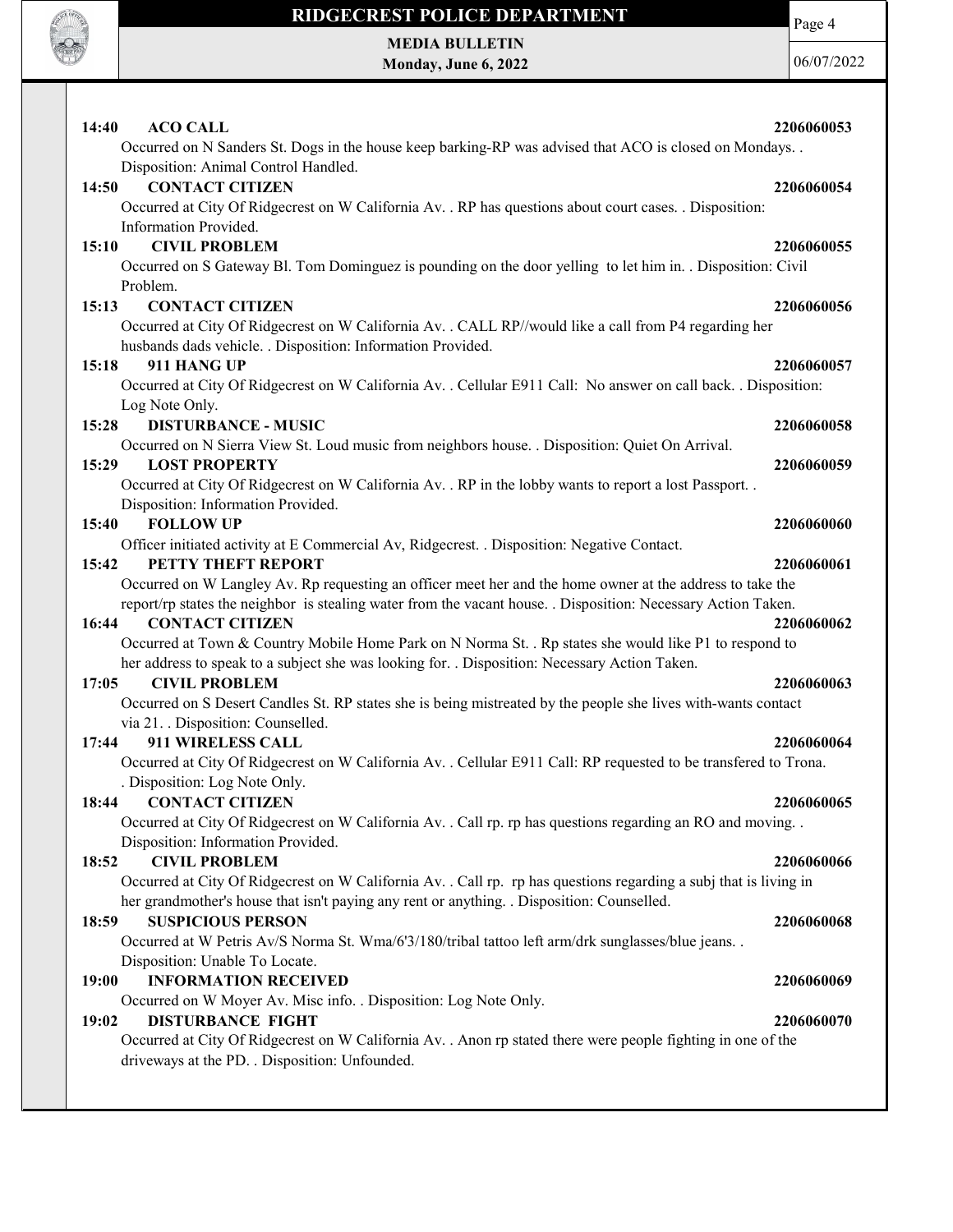

Page 4

MEDIA BULLETIN Monday, June 6, 2022

| 14:40<br><b>ACO CALL</b>                                                                                                                                       | 2206060053 |
|----------------------------------------------------------------------------------------------------------------------------------------------------------------|------------|
| Occurred on N Sanders St. Dogs in the house keep barking-RP was advised that ACO is closed on Mondays. .                                                       |            |
| Disposition: Animal Control Handled.                                                                                                                           |            |
| <b>CONTACT CITIZEN</b><br>14:50                                                                                                                                | 2206060054 |
| Occurred at City Of Ridgecrest on W California Av. . RP has questions about court cases. . Disposition:<br>Information Provided.                               |            |
| <b>CIVIL PROBLEM</b><br>15:10                                                                                                                                  | 2206060055 |
| Occurred on S Gateway Bl. Tom Dominguez is pounding on the door yelling to let him in. . Disposition: Civil                                                    |            |
| Problem.                                                                                                                                                       |            |
| 15:13<br><b>CONTACT CITIZEN</b>                                                                                                                                | 2206060056 |
| Occurred at City Of Ridgecrest on W California Av. . CALL RP//would like a call from P4 regarding her                                                          |            |
| husbands dads vehicle. . Disposition: Information Provided.                                                                                                    |            |
| 911 HANG UP<br>15:18                                                                                                                                           | 2206060057 |
| Occurred at City Of Ridgecrest on W California Av. . Cellular E911 Call: No answer on call back. . Disposition:                                                |            |
| Log Note Only.                                                                                                                                                 |            |
| <b>DISTURBANCE - MUSIC</b><br>15:28                                                                                                                            | 2206060058 |
| Occurred on N Sierra View St. Loud music from neighbors house. . Disposition: Quiet On Arrival.                                                                |            |
| 15:29<br><b>LOST PROPERTY</b>                                                                                                                                  | 2206060059 |
| Occurred at City Of Ridgecrest on W California Av. . RP in the lobby wants to report a lost Passport. .                                                        |            |
| Disposition: Information Provided.                                                                                                                             |            |
| <b>FOLLOW UP</b><br>15:40                                                                                                                                      | 2206060060 |
| Officer initiated activity at E Commercial Av, Ridgecrest. . Disposition: Negative Contact.                                                                    |            |
| PETTY THEFT REPORT<br>15:42                                                                                                                                    | 2206060061 |
| Occurred on W Langley Av. Rp requesting an officer meet her and the home owner at the address to take the                                                      |            |
| report/rp states the neighbor is stealing water from the vacant house. . Disposition: Necessary Action Taken.<br><b>CONTACT CITIZEN</b><br>16:44               | 2206060062 |
| Occurred at Town & Country Mobile Home Park on N Norma St. . Rp states she would like P1 to respond to                                                         |            |
| her address to speak to a subject she was looking for. . Disposition: Necessary Action Taken.                                                                  |            |
| <b>CIVIL PROBLEM</b><br>17:05                                                                                                                                  | 2206060063 |
| Occurred on S Desert Candles St. RP states she is being mistreated by the people she lives with-wants contact                                                  |            |
| via 21. . Disposition: Counselled.                                                                                                                             |            |
| 17:44<br>911 WIRELESS CALL                                                                                                                                     | 2206060064 |
| Occurred at City Of Ridgecrest on W California Av. . Cellular E911 Call: RP requested to be transfered to Trona.                                               |            |
| . Disposition: Log Note Only.                                                                                                                                  |            |
| 18:44<br><b>CONTACT CITIZEN</b>                                                                                                                                | 2206060065 |
| Occurred at City Of Ridgecrest on W California Av. . Call rp. rp has questions regarding an RO and moving. .                                                   |            |
| Disposition: Information Provided.                                                                                                                             |            |
| <b>CIVIL PROBLEM</b><br>18:52                                                                                                                                  | 2206060066 |
| Occurred at City Of Ridgecrest on W California Av. . Call rp. rp has questions regarding a subj that is living in                                              |            |
| her grandmother's house that isn't paying any rent or anything. . Disposition: Counselled.                                                                     |            |
| <b>SUSPICIOUS PERSON</b><br>18:59                                                                                                                              | 2206060068 |
| Occurred at W Petris Av/S Norma St. Wma/6'3/180/tribal tattoo left arm/drk sunglasses/blue jeans. .                                                            |            |
| Disposition: Unable To Locate.                                                                                                                                 |            |
| 19:00<br><b>INFORMATION RECEIVED</b>                                                                                                                           | 2206060069 |
| Occurred on W Moyer Av. Misc info. . Disposition: Log Note Only.                                                                                               |            |
| <b>DISTURBANCE FIGHT</b><br>19:02                                                                                                                              | 2206060070 |
| Occurred at City Of Ridgecrest on W California Av. . Anon rp stated there were people fighting in one of the<br>driveways at the PD. . Disposition: Unfounded. |            |
|                                                                                                                                                                |            |
|                                                                                                                                                                |            |